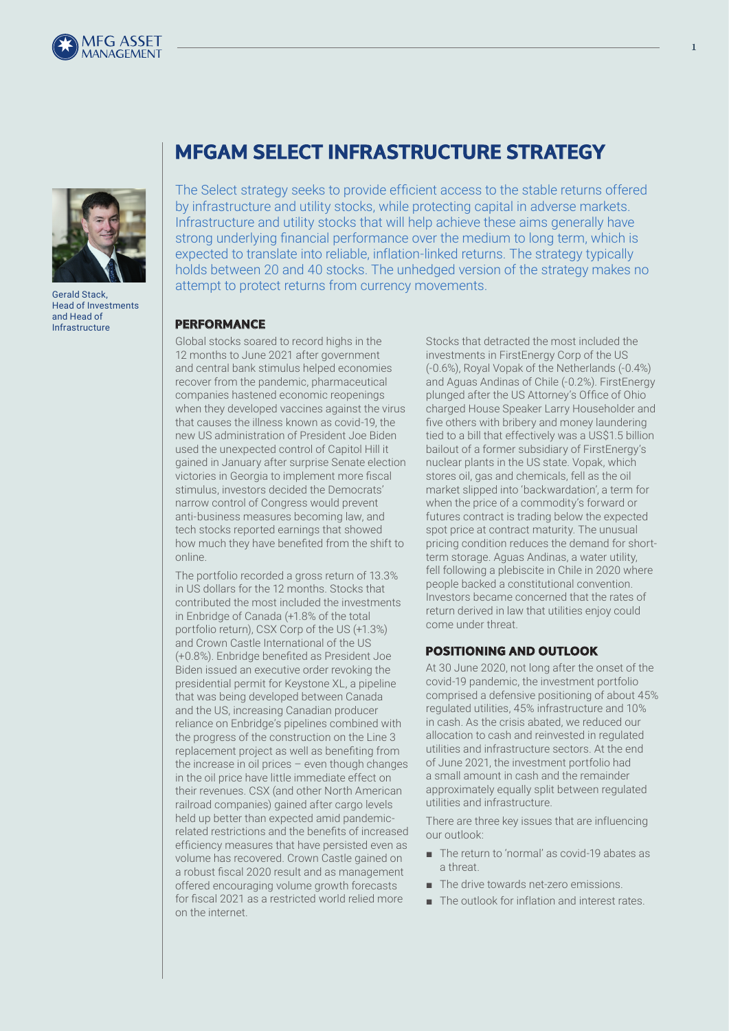



Gerald Stack, Head of Investments and Head of Infrastructure

# **MFGAM SELECT INFRASTRUCTURE STRATEGY**

The Select strategy seeks to provide efficient access to the stable returns offered by infrastructure and utility stocks, while protecting capital in adverse markets. Infrastructure and utility stocks that will help achieve these aims generally have strong underlying financial performance over the medium to long term, which is expected to translate into reliable, inflation-linked returns. The strategy typically holds between 20 and 40 stocks. The unhedged version of the strategy makes no attempt to protect returns from currency movements.

#### **PERFORMANCE**

Global stocks soared to record highs in the 12 months to June 2021 after government and central bank stimulus helped economies recover from the pandemic, pharmaceutical companies hastened economic reopenings when they developed vaccines against the virus that causes the illness known as covid-19, the new US administration of President Joe Biden used the unexpected control of Capitol Hill it gained in January after surprise Senate election victories in Georgia to implement more fiscal stimulus, investors decided the Democrats' narrow control of Congress would prevent anti-business measures becoming law, and tech stocks reported earnings that showed how much they have benefited from the shift to online.

The portfolio recorded a gross return of 13.3% in US dollars for the 12 months. Stocks that contributed the most included the investments in Enbridge of Canada (+1.8% of the total portfolio return), CSX Corp of the US (+1.3%) and Crown Castle International of the US (+0.8%). Enbridge benefited as President Joe Biden issued an executive order revoking the presidential permit for Keystone XL, a pipeline that was being developed between Canada and the US, increasing Canadian producer reliance on Enbridge's pipelines combined with the progress of the construction on the Line 3 replacement project as well as benefiting from the increase in oil prices – even though changes in the oil price have little immediate effect on their revenues. CSX (and other North American railroad companies) gained after cargo levels held up better than expected amid pandemicrelated restrictions and the benefits of increased efficiency measures that have persisted even as volume has recovered. Crown Castle gained on a robust fiscal 2020 result and as management offered encouraging volume growth forecasts for fiscal 2021 as a restricted world relied more on the internet.

Stocks that detracted the most included the investments in FirstEnergy Corp of the US (-0.6%), Royal Vopak of the Netherlands (-0.4%) and Aguas Andinas of Chile (-0.2%). FirstEnergy plunged after the US Attorney's Office of Ohio charged House Speaker Larry Householder and five others with bribery and money laundering tied to a bill that effectively was a US\$1.5 billion bailout of a former subsidiary of FirstEnergy's nuclear plants in the US state. Vopak, which stores oil, gas and chemicals, fell as the oil market slipped into 'backwardation', a term for when the price of a commodity's forward or futures contract is trading below the expected spot price at contract maturity. The unusual pricing condition reduces the demand for shortterm storage. Aguas Andinas, a water utility, fell following a plebiscite in Chile in 2020 where people backed a constitutional convention. Investors became concerned that the rates of return derived in law that utilities enjoy could come under threat.

## **POSITIONING AND OUTLOOK**

At 30 June 2020, not long after the onset of the covid-19 pandemic, the investment portfolio comprised a defensive positioning of about 45% regulated utilities, 45% infrastructure and 10% in cash. As the crisis abated, we reduced our allocation to cash and reinvested in regulated utilities and infrastructure sectors. At the end of June 2021, the investment portfolio had a small amount in cash and the remainder approximately equally split between regulated utilities and infrastructure.

There are three key issues that are influencing our outlook:

- The return to 'normal' as covid-19 abates as a threat.
- The drive towards net-zero emissions.
- The outlook for inflation and interest rates.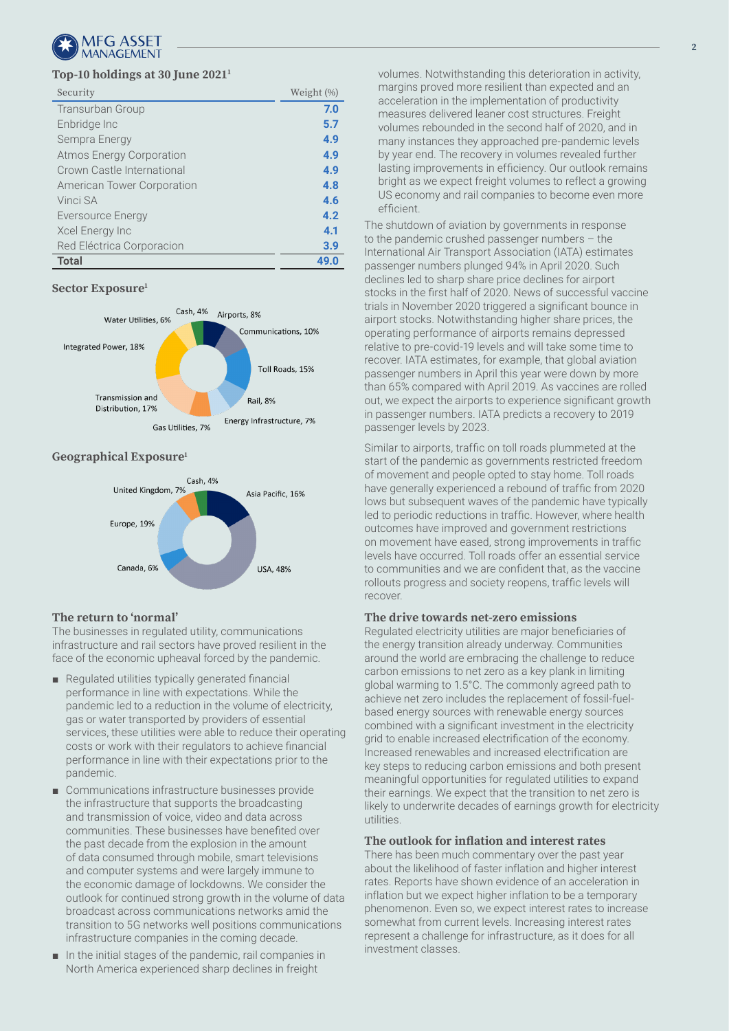

#### **Top-10 holdings at 30 June 20211**

| Security                        | Weight (%) |
|---------------------------------|------------|
| Transurban Group                | 7.0        |
| Enbridge Inc                    | 5.7        |
| Sempra Energy                   | 4.9        |
| <b>Atmos Energy Corporation</b> | 4.9        |
| Crown Castle International      | 4.9        |
| American Tower Corporation      | 4.8        |
| Vinci SA                        | 4.6        |
| Eversource Energy               | 4.2        |
| Xcel Energy Inc                 | 4.1        |
| Red Eléctrica Corporacion       | 3.9        |
| <b>Total</b>                    | 49.0       |

#### **Sector Exposure1**



#### **Geographical Exposure1**



#### **The return to 'normal'**

The businesses in regulated utility, communications infrastructure and rail sectors have proved resilient in the face of the economic upheaval forced by the pandemic.

- Regulated utilities typically generated financial performance in line with expectations. While the pandemic led to a reduction in the volume of electricity, gas or water transported by providers of essential services, these utilities were able to reduce their operating costs or work with their regulators to achieve financial performance in line with their expectations prior to the pandemic.
- Communications infrastructure businesses provide the infrastructure that supports the broadcasting and transmission of voice, video and data across communities. These businesses have benefited over the past decade from the explosion in the amount of data consumed through mobile, smart televisions and computer systems and were largely immune to the economic damage of lockdowns. We consider the outlook for continued strong growth in the volume of data broadcast across communications networks amid the transition to 5G networks well positions communications infrastructure companies in the coming decade.
- In the initial stages of the pandemic, rail companies in North America experienced sharp declines in freight

**2**

volumes. Notwithstanding this deterioration in activity, margins proved more resilient than expected and an acceleration in the implementation of productivity measures delivered leaner cost structures. Freight volumes rebounded in the second half of 2020, and in many instances they approached pre-pandemic levels by year end. The recovery in volumes revealed further lasting improvements in efficiency. Our outlook remains bright as we expect freight volumes to reflect a growing US economy and rail companies to become even more efficient.

The shutdown of aviation by governments in response to the pandemic crushed passenger numbers – the International Air Transport Association (IATA) estimates passenger numbers plunged 94% in April 2020. Such declines led to sharp share price declines for airport stocks in the first half of 2020. News of successful vaccine trials in November 2020 triggered a significant bounce in airport stocks. Notwithstanding higher share prices, the operating performance of airports remains depressed relative to pre-covid-19 levels and will take some time to recover. IATA estimates, for example, that global aviation passenger numbers in April this year were down by more than 65% compared with April 2019. As vaccines are rolled out, we expect the airports to experience significant growth in passenger numbers. IATA predicts a recovery to 2019 passenger levels by 2023.

Similar to airports, traffic on toll roads plummeted at the start of the pandemic as governments restricted freedom of movement and people opted to stay home. Toll roads have generally experienced a rebound of traffic from 2020 lows but subsequent waves of the pandemic have typically led to periodic reductions in traffic. However, where health outcomes have improved and government restrictions on movement have eased, strong improvements in traffic levels have occurred. Toll roads offer an essential service to communities and we are confident that, as the vaccine rollouts progress and society reopens, traffic levels will recover.

#### **The drive towards net-zero emissions**

Regulated electricity utilities are major beneficiaries of the energy transition already underway. Communities around the world are embracing the challenge to reduce carbon emissions to net zero as a key plank in limiting global warming to 1.5°C. The commonly agreed path to achieve net zero includes the replacement of fossil-fuelbased energy sources with renewable energy sources combined with a significant investment in the electricity grid to enable increased electrification of the economy. Increased renewables and increased electrification are key steps to reducing carbon emissions and both present meaningful opportunities for regulated utilities to expand their earnings. We expect that the transition to net zero is likely to underwrite decades of earnings growth for electricity utilities.

#### **The outlook for inflation and interest rates**

There has been much commentary over the past year about the likelihood of faster inflation and higher interest rates. Reports have shown evidence of an acceleration in inflation but we expect higher inflation to be a temporary phenomenon. Even so, we expect interest rates to increase somewhat from current levels. Increasing interest rates represent a challenge for infrastructure, as it does for all investment classes.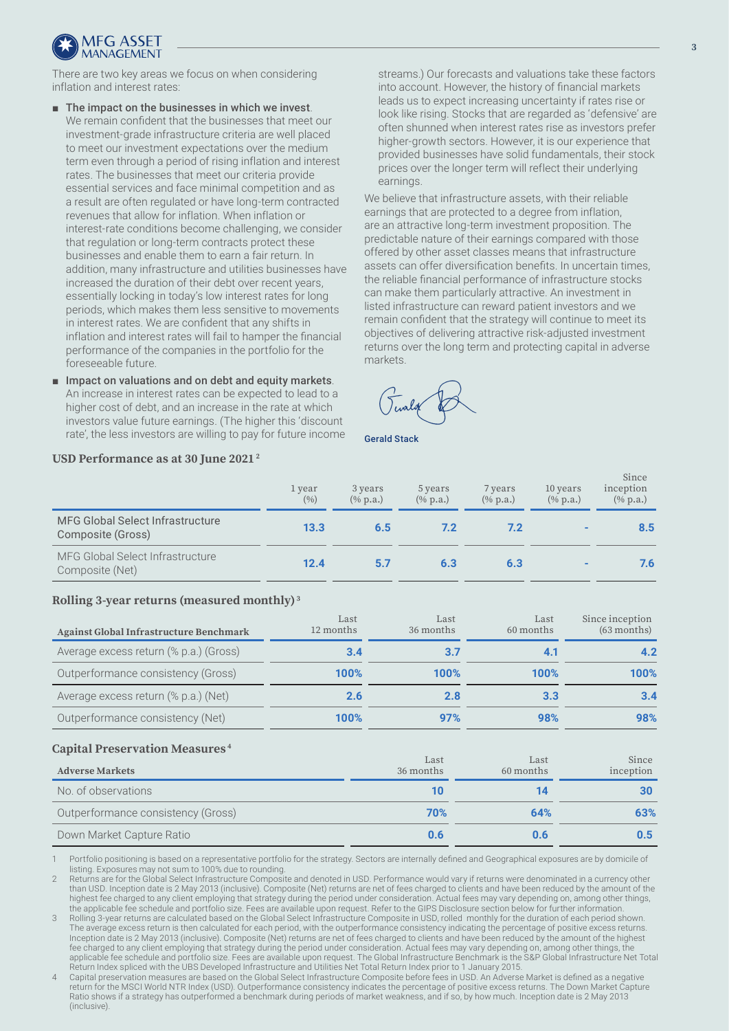

There are two key areas we focus on when considering inflation and interest rates:

- The impact on the businesses in which we invest. We remain confident that the businesses that meet our investment-grade infrastructure criteria are well placed to meet our investment expectations over the medium term even through a period of rising inflation and interest rates. The businesses that meet our criteria provide essential services and face minimal competition and as a result are often regulated or have long-term contracted revenues that allow for inflation. When inflation or interest-rate conditions become challenging, we consider that regulation or long-term contracts protect these businesses and enable them to earn a fair return. In addition, many infrastructure and utilities businesses have increased the duration of their debt over recent years, essentially locking in today's low interest rates for long periods, which makes them less sensitive to movements in interest rates. We are confident that any shifts in inflation and interest rates will fail to hamper the financial performance of the companies in the portfolio for the foreseeable future.
- Impact on valuations and on debt and equity markets. An increase in interest rates can be expected to lead to a higher cost of debt, and an increase in the rate at which investors value future earnings. (The higher this 'discount rate', the less investors are willing to pay for future income

streams.) Our forecasts and valuations take these factors into account. However, the history of financial markets leads us to expect increasing uncertainty if rates rise or look like rising. Stocks that are regarded as 'defensive' are often shunned when interest rates rise as investors prefer higher-growth sectors. However, it is our experience that provided businesses have solid fundamentals, their stock prices over the longer term will reflect their underlying earnings.

We believe that infrastructure assets, with their reliable earnings that are protected to a degree from inflation, are an attractive long-term investment proposition. The predictable nature of their earnings compared with those offered by other asset classes means that infrastructure assets can offer diversification benefits. In uncertain times, the reliable financial performance of infrastructure stocks can make them particularly attractive. An investment in listed infrastructure can reward patient investors and we remain confident that the strategy will continue to meet its objectives of delivering attractive risk-adjusted investment returns over the long term and protecting capital in adverse markets.

Gerald Stack

# **USD Performance as at 30 June 2021 2**

|                                                       | 1 year<br>(9/6) | 3 years<br>$(\%$ p.a.) | 5 years<br>$(\%$ p.a.) | 7 years<br>$(\%$ p.a.) | 10 years<br>$(\%$ p.a.) | inception<br>$(\%$ p.a.) |
|-------------------------------------------------------|-----------------|------------------------|------------------------|------------------------|-------------------------|--------------------------|
| MFG Global Select Infrastructure<br>Composite (Gross) | 13.3            | 6.5                    | 7.2                    | 7.2                    |                         | 8.5                      |
| MFG Global Select Infrastructure<br>Composite (Net)   | 12.4            | 5.7                    | 6.3                    | 6.3                    |                         | 7.6                      |

### **Rolling 3-year returns (measured monthly) 3**

| Against Global Infrastructure Benchmark | Last<br>12 months | Last<br>36 months | Last<br>60 months | Since inception<br>$(63$ months) |
|-----------------------------------------|-------------------|-------------------|-------------------|----------------------------------|
| Average excess return (% p.a.) (Gross)  | 3.4               |                   |                   |                                  |
| Outperformance consistency (Gross)      | 100%              | 100%              | 100%              | 100%                             |
| Average excess return (% p.a.) (Net)    | 2.6               | 7 R               | 3.3               | 3.4                              |
| Outperformance consistency (Net)        | 100%              | 97%               | 98%               | 98%                              |

#### **Capital Preservation Measures 4**

| <b>Adverse Markets</b>             | Last<br>36 months | Last<br>60 months | Since<br>inception |
|------------------------------------|-------------------|-------------------|--------------------|
| No. of observations                |                   | 14                | 30                 |
| Outperformance consistency (Gross) | 70%               | 64%               | 63%                |
| Down Market Capture Ratio          | 0.6               | D.6               |                    |

1 Portfolio positioning is based on a representative portfolio for the strategy. Sectors are internally defined and Geographical exposures are by domicile of listing. Exposures may not sum to 100% due to rounding.

Returns are for the Global Select Infrastructure Composite and denoted in USD. Performance would vary if returns were denominated in a currency other than USD. Inception date is 2 May 2013 (inclusive). Composite (Net) returns are net of fees charged to clients and have been reduced by the amount of the highest fee charged to any client employing that strategy during the period under consideration. Actual fees may vary depending on, among other things, the applicable fee schedule and portfolio size. Fees are available upon request. Refer to the GIPS Disclosure section below for further information.

4 Capital preservation measures are based on the Global Select Infrastructure Composite before fees in USD. An Adverse Market is defined as a negative return for the MSCI World NTR Index (USD). Outperformance consistency indicates the percentage of positive excess returns. The Down Market Capture Ratio shows if a strategy has outperformed a benchmark during periods of market weakness, and if so, by how much. Inception date is 2 May 2013 (inclusive).

Since

<sup>3</sup> Rolling 3-year returns are calculated based on the Global Select Infrastructure Composite in USD, rolled monthly for the duration of each period shown. The average excess return is then calculated for each period, with the outperformance consistency indicating the percentage of positive excess returns. Inception date is 2 May 2013 (inclusive). Composite (Net) returns are net of fees charged to clients and have been reduced by the amount of the highest fee charged to any client employing that strategy during the period under consideration. Actual fees may vary depending on, among other things, the applicable fee schedule and portfolio size. Fees are available upon request. The Global Infrastructure Benchmark is the S&P Global Infrastructure Net Total Return Index spliced with the UBS Developed Infrastructure and Utilities Net Total Return Index prior to 1 January 2015.